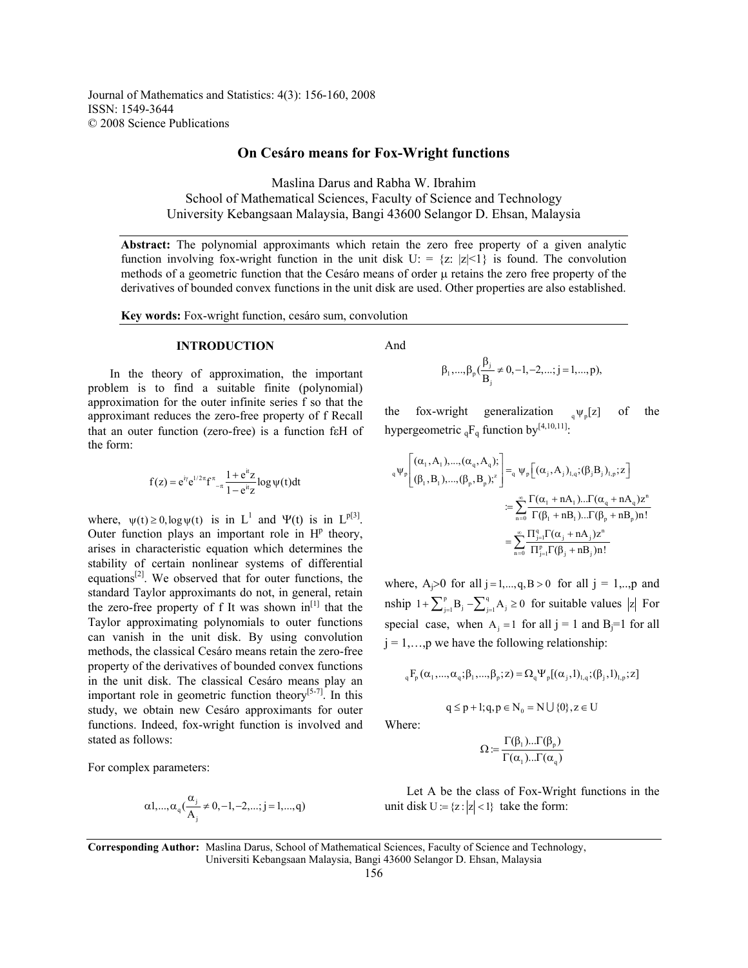Journal of Mathematics and Statistics: 4(3): 156-160, 2008 ISSN: 1549-3644 © 2008 Science Publications

## **On Cesáro means for Fox-Wright functions**

Maslina Darus and Rabha W. Ibrahim School of Mathematical Sciences, Faculty of Science and Technology University Kebangsaan Malaysia, Bangi 43600 Selangor D. Ehsan, Malaysia

**Abstract:** The polynomial approximants which retain the zero free property of a given analytic function involving fox-wright function in the unit disk  $U = \{z : |z| \leq 1\}$  is found. The convolution methods of a geometric function that the Cesáro means of order  $\mu$  retains the zero free property of the derivatives of bounded convex functions in the unit disk are used. Other properties are also established.

**Key words:** Fox-wright function, cesáro sum, convolution

#### **INTRODUCTION**

 In the theory of approximation, the important problem is to find a suitable finite (polynomial) approximation for the outer infinite series f so that the approximant reduces the zero-free property of f Recall that an outer function (zero-free) is a function fεH of the form:

$$
f(z)=e^{i\gamma}e^{1/2\pi}f^{\pi}_{\phantom{\pi}-\pi}\frac{1+e^{it}z}{1-e^{it}z}\log\psi(t)dt
$$

where,  $\psi(t) \ge 0$ ,  $\log \psi(t)$  is in L<sup>1</sup> and  $\Psi(t)$  is in L<sup>p[3]</sup>. Outer function plays an important role in  $H<sup>p</sup>$  theory, arises in characteristic equation which determines the stability of certain nonlinear systems of differential equations $[2]$ . We observed that for outer functions, the standard Taylor approximants do not, in general, retain the zero-free property of f It was shown  $in^{[1]}$  that the Taylor approximating polynomials to outer functions can vanish in the unit disk. By using convolution methods, the classical Cesáro means retain the zero-free property of the derivatives of bounded convex functions in the unit disk. The classical Cesáro means play an important role in geometric function theory<sup>[5-7]</sup>. In this study, we obtain new Cesáro approximants for outer functions. Indeed, fox-wright function is involved and stated as follows:

For complex parameters:

$$
\alpha 1, ..., \alpha_q(\frac{\alpha_j}{A_j} \neq 0, -1, -2, ..., j = 1, ..., q)
$$

And

$$
\beta_1,...,\beta_p(\frac{\beta_j}{B_j}\neq 0,-1,-2,...;j=1,...,p),
$$

the fox-wright generalization  $_{q}\psi_{p}[z]$  of the hypergeometric  ${}_{q}F_{q}$  function by<sup>[4,10,11]</sup>:

$$
\begin{aligned} {}_{q}\psi_p\Bigg[&(\alpha_1,A_1),...,(\alpha_q,A_q);\\&(\beta_1,B_1),...,(\beta_p,B_p);^z\Bigg]= {}_{q}\psi_p\Big[&(\alpha_j,A_j)_{l,q};(\beta_jB_j)_{l,p};z\Big]\\&:=\sum_{n=0}^{\infty}\frac{\Gamma(\alpha_1+nA_1)...\Gamma(\alpha_q+nA_q)z^n}{\Gamma(\beta_1+nB_1)...\Gamma(\beta_p+nB_p)n!}\\&=\sum_{n=0}^{\infty}\frac{\Pi_{j=1}^q\Gamma(\alpha_j+nA_j)z^n}{\Pi_{j=1}^p\Gamma(\beta_j+nB_j)n!}\end{aligned}
$$

where,  $A_j > 0$  for all  $j = 1, ..., q, B > 0$  for all  $j = 1, ..., p$  and nship  $1 + \sum_{j=1}^{p} B_j - \sum_{j=1}^{q} A_j \ge 0$  for suitable values |z| For special case, when  $A_i = 1$  for all j = 1 and  $B_i = 1$  for all  $j = 1,...,p$  we have the following relationship:

$$
{}_{q}F_{p}(\alpha_{1},...,\alpha_{q};\beta_{1},...,\beta_{p};z) = \Omega_{q}\Psi_{p}[(\alpha_{j},1)_{1,q};(\beta_{j},1)_{1,p};z]
$$
  

$$
q \leq p+1; q, p \in N_{0} = N \cup \{0\}, z \in U
$$

Where:

$$
\Omega := \frac{\Gamma(\beta_1)...\Gamma(\beta_p)}{\Gamma(\alpha_1)...\Gamma(\alpha_q)}
$$

 Let A be the class of Fox-Wright functions in the unit disk  $U = \{z : |z| < 1\}$  take the form:

**Corresponding Author:** Maslina Darus, School of Mathematical Sciences, Faculty of Science and Technology, Universiti Kebangsaan Malaysia, Bangi 43600 Selangor D. Ehsan, Malaysia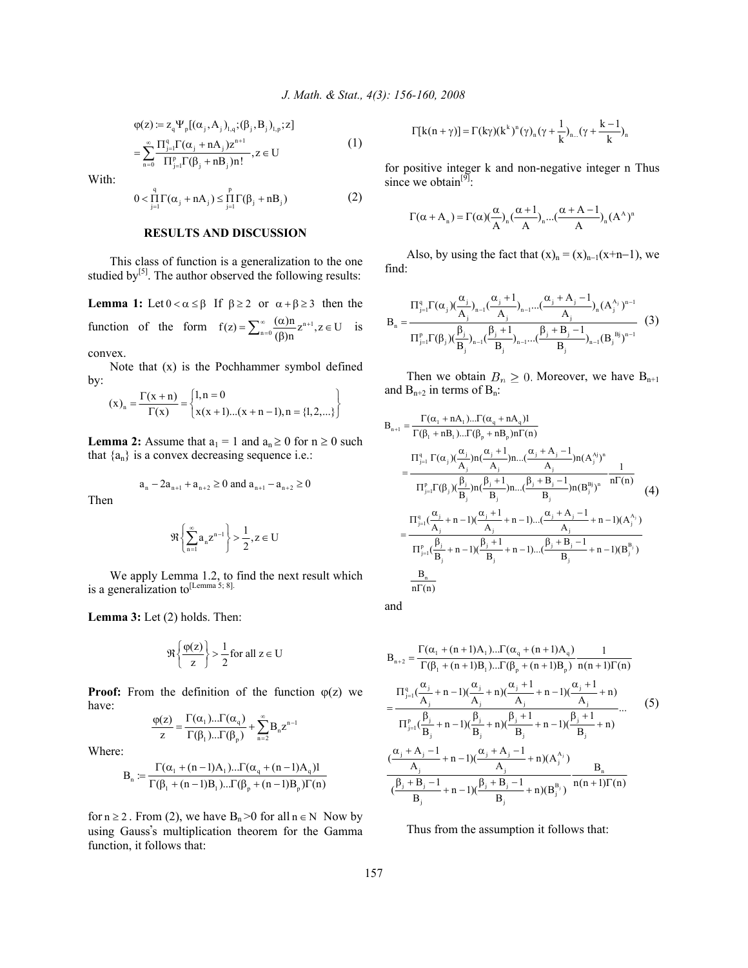$$
\varphi(z) \coloneqq z_{q} \Psi_{p}[(\alpha_{j}, A_{j})_{l,q}; (\beta_{j}, B_{j})_{l,p}; z]
$$
  
= 
$$
\sum_{n=0}^{\infty} \frac{\Pi_{j=1}^{q} \Gamma(\alpha_{j} + n A_{j}) z^{n+1}}{\Pi_{j=1}^{p} \Gamma(\beta_{j} + n B_{j}) n!}, z \in U
$$
 (1)

With:

$$
0 < \prod_{j=1}^{q} \Gamma(\alpha_j + nA_j) \leq \prod_{j=1}^{p} \Gamma(\beta_j + nB_j)
$$
 (2)

### **RESULTS AND DISCUSSION**

 This class of function is a generalization to the one studied by $[5]$ . The author observed the following results:

**Lemma 1:** Let  $0 < \alpha \leq \beta$  If  $\beta \geq 2$  or  $\alpha + \beta \geq 3$  then the function of the form  $f(z) = \sum_{n=0}^{\infty} \frac{(\alpha)n}{(\beta)n} z^{n+1}, z \in U$  is

convex.

 Note that (x) is the Pochhammer symbol defined by:

$$
(x)_n = \frac{\Gamma(x+n)}{\Gamma(x)} = \begin{cases} 1, n = 0 \\ x(x+1)...(x+n-1), n = \{1, 2,...\} \end{cases}
$$

**Lemma 2:** Assume that  $a_1 = 1$  and  $a_n \ge 0$  for  $n \ge 0$  such that  ${a_n}$  is a convex decreasing sequence i.e.:

$$
a_n - 2a_{n+1} + a_{n+2} \ge 0
$$
 and  $a_{n+1} - a_{n+2} \ge 0$ 

Then

$$
\Re\left\{\sum_{n=1}^\infty a_n z^{n-1}\right\} > \frac{1}{2}, z \in U
$$

 We apply Lemma 1.2, to find the next result which is a generalization to<sup>[Lemma 5; 8].</sup>

**Lemma 3:** Let (2) holds. Then:

$$
\Re\left\{\frac{\varphi(z)}{z}\right\} > \frac{1}{2} \text{ for all } z \in U
$$

**Proof:** From the definition of the function  $\varphi(z)$  we have:

$$
\frac{\phi(z)}{z} = \frac{\Gamma(\alpha_1)... \Gamma(\alpha_q)}{\Gamma(\beta_1)... \Gamma(\beta_p)} + \sum_{n=2}^{\infty} B_n z^{n-1}
$$

Where:

$$
B_n := \frac{\Gamma(\alpha_1 + (n-1)A_1)... \Gamma(\alpha_q + (n-1)A_q)1}{\Gamma(\beta_1 + (n-1)B_1)... \Gamma(\beta_p + (n-1)B_p) \Gamma(n)}
$$

for  $n \ge 2$ . From (2), we have  $B_n > 0$  for all  $n \in N$  Now by using Gauss's multiplication theorem for the Gamma function, it follows that:

$$
\Gamma[k(n+\gamma)] = \Gamma(k\gamma)(k^k)^n(\gamma)_n(\gamma + \frac{1}{k})_{n...}(\gamma + \frac{k-1}{k})_n
$$

for positive integer k and non-negative integer n Thus since we obtain<sup>[9]</sup>:

$$
\Gamma(\alpha + A_n) = \Gamma(\alpha) \left(\frac{\alpha}{A}\right)_n \left(\frac{\alpha + 1}{A}\right)_n \dots \left(\frac{\alpha + A - 1}{A}\right)_n (A^A)^n
$$

Also, by using the fact that  $(x)<sub>n</sub> = (x)<sub>n-1</sub>(x+n-1)$ , we find:

$$
B_{n} = \frac{\Pi_{j=1}^{q} \Gamma(\alpha_{j}) (\frac{\alpha_{j}}{A_{j}})_{n-1} (\frac{\alpha_{j}+1}{A_{j}})_{n-1} \dots (\frac{\alpha_{j}+A_{j}-1}{A_{j}})_{n} (A_{j}^{A_{j}})^{n-1}}{\Pi_{j=1}^{p} \Gamma(\beta_{j}) (\frac{\beta_{j}}{B_{j}})_{n-1} (\frac{\beta_{j}+1}{B_{j}})_{n-1} \dots (\frac{\beta_{j}+B_{j}-1}{B_{j}})_{n-1} (B_{j}^{Bj})^{n-1}}
$$
(3)

Then we obtain  $B_n \geq 0$ . Moreover, we have  $B_{n+1}$ and  $B_{n+2}$  in terms of  $B_n$ :

$$
B_{n+1} = \frac{\Gamma(\alpha_1 + nA_1)... \Gamma(\alpha_q + nA_q)I}{\Gamma(\beta_1 + nB_1)... \Gamma(\beta_p + nB_p)n\Gamma(n)} \n= \frac{\Pi_{j=1}^q \Gamma(\alpha_j) (\frac{\alpha_j}{A_j})n(\frac{\alpha_j + 1}{A_j})n...( \frac{\alpha_j + A_j - 1}{A_j})n(A_j^{aj})^n}{\Pi_{j=1}^p \Gamma(\beta_j) (\frac{\beta_j}{B_j})n(\frac{\beta_j + 1}{B_j})n...( \frac{\beta_j + B_j - 1}{B_j})n(B_j^{B_j})^n} \frac{1}{n\Gamma(n)} \n= \frac{\Pi_{j=1}^q (\frac{\alpha_j}{A_j} + n - 1)(\frac{\alpha_j + 1}{A_j} + n - 1)...(\frac{\alpha_j + A_j - 1}{A_j} + n - 1)(A_j^{A_j})}{\Pi_{j=1}^p (\frac{\beta_j}{B_j} + n - 1)(\frac{\beta_j + 1}{B_j} + n - 1)...(\frac{\beta_j + B_j - 1}{B_j} + n - 1)(B_j^{B_j})} \n= \frac{B_n}{n\Gamma(n)}
$$

and

$$
B_{n+2} = \frac{\Gamma(\alpha_1 + (n+1)A_1) \dots \Gamma(\alpha_q + (n+1)A_q)}{\Gamma(\beta_1 + (n+1)B_1) \dots \Gamma(\beta_p + (n+1)B_p)} \frac{1}{n(n+1)\Gamma(n)}
$$
  
\n
$$
= \frac{\Pi_{j=1}^q (\frac{\alpha_j}{A_j} + n - 1) (\frac{\alpha_j}{A_j} + n) (\frac{\alpha_j + 1}{A_j} + n - 1) (\frac{\alpha_j + 1}{A_j} + n)}{\Pi_{j=1}^p (\frac{\beta_j}{B_j} + n - 1) (\frac{\beta_j}{B_j} + n) (\frac{\beta_j + 1}{B_j} + n - 1) (\frac{\beta_j + 1}{B_j} + n)} \dots \qquad (5)
$$
  
\n
$$
(\frac{\alpha_j + A_j - 1}{A_j} + n - 1) (\frac{\alpha_j + A_j - 1}{A_j} + n) (A_j^{A_j}) \frac{B_n}{(B_j + B_j - 1} + n - 1) (\frac{\beta_j + B_j - 1}{B_j} + n) (B_j^{B_j})} \frac{B_n}{n(n+1)\Gamma(n)}
$$

Thus from the assumption it follows that: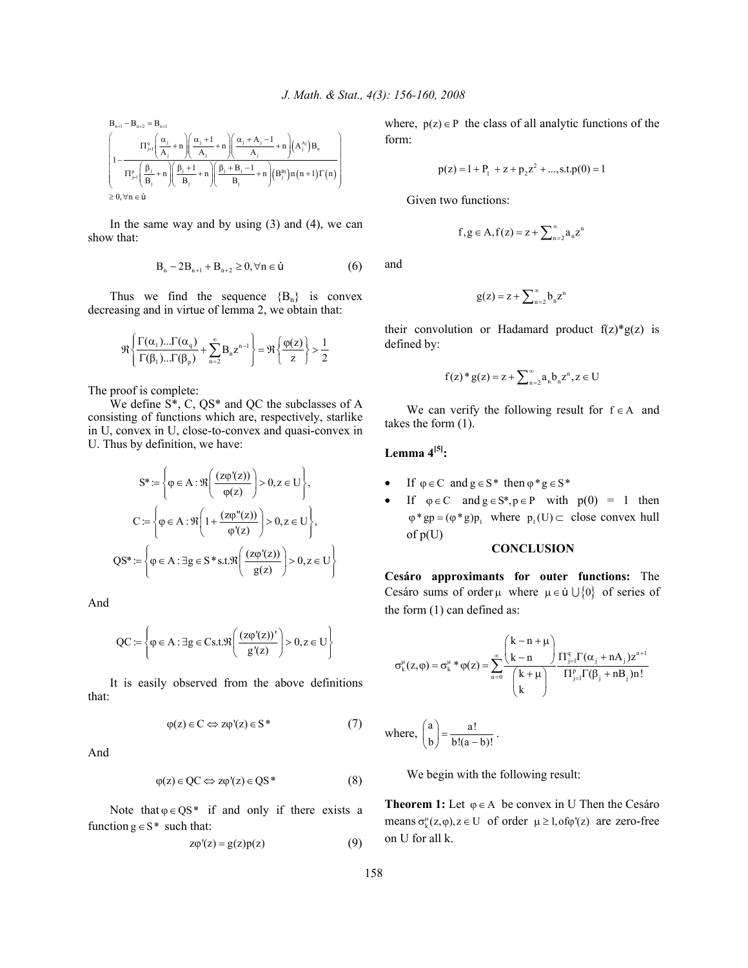$$
\begin{array}{l} B_{n+1}-B_{n+2}=B_{n+1}\\ \left(\begin{matrix} \Pi_{j=1}^{q}\left(\dfrac{\alpha_{j}}{A_{j}}+n\right)\! \left(\dfrac{\alpha_{j}+1}{A_{j}}+n\right)\! \left(\dfrac{\alpha_{j}+A_{j}-1}{A_{j}}+n\right)\! \left(\!A_{j}^{\prime,j}\right)B_{n}\right. \\\left.\left.\begin{matrix} \Pi_{j=1}^{p}\left(\dfrac{\beta_{j}}{B_{j}}+n\right)\! \left(\dfrac{\beta_{j}+1}{B_{j}}+n\right)\! \left(\dfrac{\beta_{j}+B_{j}-1}{B_{j}}+n\right)\! \left(B_{j}^{\prime ij}\right) n\left(n+1\right)\Gamma\left(n\right) \end{matrix}\right\} \\ \geq 0, \forall n\in\grave{\boldsymbol{u}} \end{array}\right)
$$

In the same way and by using  $(3)$  and  $(4)$ , we can show that:

$$
B_n - 2B_{n+1} + B_{n+2} \ge 0, \forall n \in \dot{u}
$$
 (6)

Thus we find the sequence  ${B_n}$  is convex decreasing and in virtue of lemma 2, we obtain that:

$$
\mathfrak{R}\left\{\frac{\Gamma(\alpha_1)...\Gamma(\alpha_q)}{\Gamma(\beta_1)...\Gamma(\beta_p)}+\sum_{n=2}^{\infty}B_nz^{n-1}\right\}=\mathfrak{R}\left\{\frac{\phi(z)}{z}\right\}>\frac{1}{2}
$$

The proof is complete:

 We define S\*, C, QS\* and QC the subclasses of A consisting of functions which are, respectively, starlike in U, convex in U, close-to-convex and quasi-convex in U. Thus by definition, we have:

$$
S^* := \left\{ \varphi \in A : \Re\left(\frac{(z\varphi'(z))}{\varphi(z)}\right) > 0, z \in U \right\},\
$$

$$
C := \left\{ \varphi \in A : \Re\left(1 + \frac{(z\varphi''(z))}{\varphi'(z)}\right) > 0, z \in U \right\},\
$$

$$
QS^* := \left\{ \varphi \in A : \exists g \in S^* s.t. \Re\left(\frac{(z\varphi'(z))}{g(z)}\right) > 0, z \in U \right\}
$$

And

$$
\mathrm{QC} \coloneqq \left\{ \varphi \in \mathrm{A} : \exists \mathrm{g} \in \mathrm{Cs.t.} \Re \left( \frac{(z \varphi'(z))'}{\mathrm{g}'(z)} \right) > 0, \mathrm{z} \in \mathrm{U} \right\}
$$

 It is easily observed from the above definitions that:

$$
\varphi(z) \in C \Leftrightarrow z\varphi'(z) \in S^* \tag{7}
$$

And

$$
\varphi(z) \in QC \Leftrightarrow z\varphi'(z) \in QS^* \tag{8}
$$

Note that  $\varphi \in QS^*$  if and only if there exists a function  $g \in S^*$  such that:

$$
z\varphi'(z) = g(z)p(z) \tag{9}
$$

where,  $p(z) \in P$  the class of all analytic functions of the form:

$$
p(z) = 1 + P_1 + z + p_2 z^2 + \dots, s.t. p(0) = 1
$$

Given two functions:

$$
f,g\in A, f(z)=z+\sum\nolimits_{n=2}^\infty a_nz^n
$$

and

$$
g(z) = z + \sum_{n=2}^{\infty} b_n z^n
$$

their convolution or Hadamard product  $f(z) * g(z)$  is defined by:

$$
f(z)^*g(z) = z + \sum_{n=2}^{\infty} a_n b_n z^n, z \in U
$$

We can verify the following result for  $f \in A$  and takes the form (1).

# **Lemma 4[5]:**

- If  $\varphi \in C$  and  $g \in S^*$  then  $\varphi^* g \in S^*$
- If  $\varphi \in C$  and  $g \in S^*$ ,  $p \in P$  with  $p(0) = 1$  then  $\varphi^*$ gp =  $(\varphi^*$ g)p<sub>1</sub> where  $p_1(U)$  close convex hull of p(U)

### **CONCLUSION**

**Cesáro approximants for outer functions:** The Cesáro sums of order  $\mu$  where  $\mu \in \mathfrak{u} \cup \{0\}$  of series of the form (1) can defined as:

$$
\sigma_k^\mu(z,\phi) = \sigma_k^\mu \ast \phi(z) = \sum_{n=0}^\infty \frac{\binom{k-n+\mu}{k-n}}{\binom{k+\mu}{k}} \frac{\prod_{j=1}^q \Gamma(\alpha_j+nA_j) z^{n+1}}{\prod_{j=1}^p \Gamma(\beta_j+nB_j) n!}
$$

where, 
$$
\begin{pmatrix} a \\ b \end{pmatrix} = \frac{a!}{b!(a-b)!}
$$
.

We begin with the following result:

**Theorem 1:** Let  $\varphi \in A$  be convex in U Then the Cesáro means  $\sigma_{\nu}^{\mu}(z, \varphi), z \in U$  of order  $\mu \ge 1$ , of  $\varphi'(z)$  are zero-free on U for all k.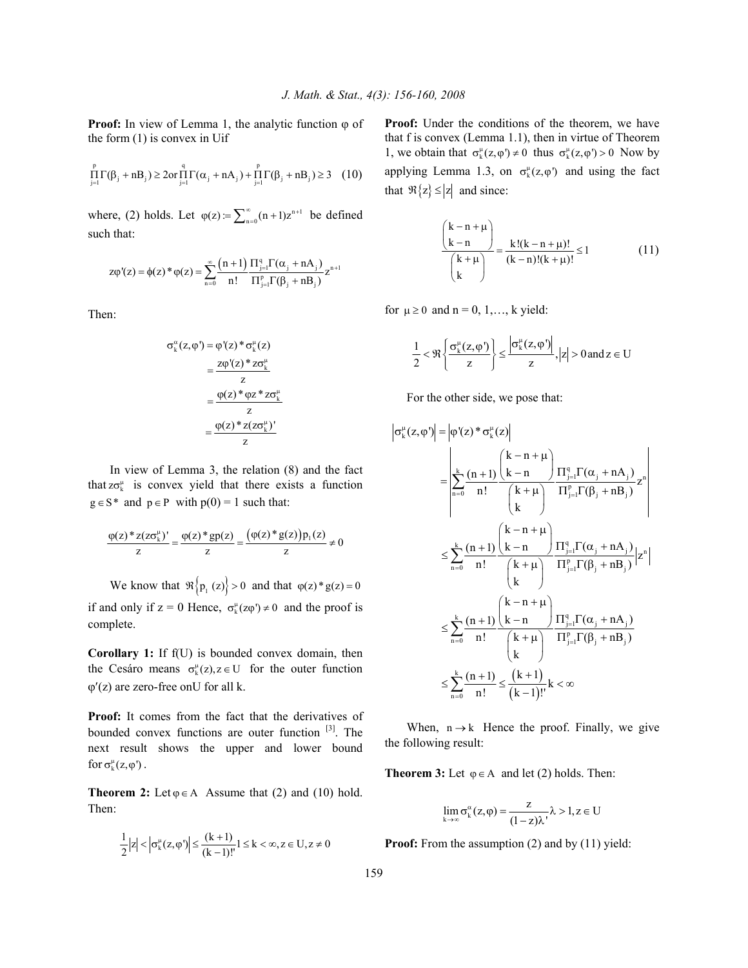**Proof:** In view of Lemma 1, the analytic function  $\varphi$  of the form (1) is convex in Uif

$$
\prod_{j=1}^p \Gamma(\beta_j+nB_j) \ge 2 or \prod_{j=1}^q \Gamma(\alpha_j+nA_j) + \prod_{j=1}^p \Gamma(\beta_j+nB_j) \ge 3 \quad (10)
$$

where, (2) holds. Let  $\varphi(z) = \sum_{n=0}^{\infty} (n+1)z^{n+1}$  be defined such that:

$$
z\varphi'(z) = \varphi(z) * \varphi(z) = \sum_{n=0}^{\infty} \frac{(n+1)}{n!} \frac{\Pi_{j=1}^{q} \Gamma(\alpha_j + nA_j)}{\Pi_{j=1}^{p} \Gamma(\beta_j + nB_j)} z^{n+1}
$$

Then:

$$
\sigma_k^{\alpha}(z, \varphi') = \varphi'(z) * \sigma_k^{\mu}(z)
$$

$$
= \frac{z\varphi'(z) * z\sigma_k^{\mu}}{z}
$$

$$
= \frac{\varphi(z) * \varphi z * z\sigma_k^{\mu}}{z}
$$

$$
= \frac{\varphi(z) * z(z\sigma_k^{\mu})'}{z}
$$

 In view of Lemma 3, the relation (8) and the fact that  $z\sigma_k^{\mu}$  is convex yield that there exists a function  $g \in S^*$  and  $p \in P$  with  $p(0) = 1$  such that:

$$
\frac{\varphi(z)^* z (z \sigma_k^{\mu})'}{z} = \frac{\varphi(z)^* gp(z)}{z} = \frac{(\varphi(z)^* g(z)) p_1(z)}{z} \neq 0
$$

We know that  $\Re\{p_1(z)\} > 0$  and that  $\varphi(z)^* g(z) = 0$ if and only if  $z = 0$  Hence,  $\sigma_k^{\mu}(z \varphi) \neq 0$  and the proof is complete.

**Corollary 1:** If f(U) is bounded convex domain, then the Cesáro means  $\sigma_k^{\mu}(z), z \in U$  for the outer function  $\varphi'(z)$  are zero-free onU for all k.

**Proof:** It comes from the fact that the derivatives of bounded convex functions are outer function [3]. The next result shows the upper and lower bound for  $\sigma_k^{\mu}(z, \varphi')$ .

**Theorem 2:** Let  $\varphi \in A$  Assume that (2) and (10) hold. Then:

$$
\frac{1}{2}|z| < \left|\sigma_k^{\mu}(z,\varphi)\right| \le \frac{(k+1)}{(k-1)!} 1 \le k < \infty, z \in U, z \ne 0
$$

Proof: Under the conditions of the theorem, we have that f is convex (Lemma 1.1), then in virtue of Theorem 1, we obtain that  $\sigma_k^{\mu}(z, \varphi) \neq 0$  thus  $\sigma_k^{\mu}(z, \varphi') > 0$  Now by applying Lemma 1.3, on  $\sigma_k^{\mu}(z, \varphi')$  and using the fact that  $\Re\{z\} \le |z|$  and since:

$$
\frac{{\binom{k-n+\mu}{k-n}}}{{\binom{k+\mu}{k}}} = \frac{k! (k-n+\mu)!}{(k-n)! (k+\mu)!} \le 1
$$
 (11)

for  $\mu \geq 0$  and  $n = 0, 1, \ldots, k$  yield:

$$
\frac{1}{2} < \Re \left\{ \frac{\sigma_k^{\mu}(z, \phi')}{z} \right\} \le \frac{\left| \sigma_k^{\mu}(z, \phi') \right|}{z}, |z| > 0 \text{ and } z \in U
$$

For the other side, we pose that:

$$
\sigma_k^{\mu}(z, \varphi') \Big| = \Big| \varphi'(z)^* \sigma_k^{\mu}(z) \Big|
$$
\n
$$
= \left| \sum_{n=0}^{k} \frac{(n+1)}{n!} \frac{\left(k-n+\mu\right)}{\left(k+\mu\right)} \frac{\Pi_{j=1}^q \Gamma(\alpha_j + nA_j)}{\Pi_{j=1}^p \Gamma(\beta_j + nB_j)} z^n \right|
$$
\n
$$
\leq \sum_{n=0}^{k} \frac{(n+1)}{n!} \frac{\left(k-n+\mu\right)}{\left(k+n\right)} \frac{\Pi_{j=1}^q \Gamma(\alpha_j + nA_j)}{\Pi_{j=1}^p \Gamma(\beta_j + nB_j)} z^n \Big|
$$
\n
$$
\leq \sum_{n=0}^{k} \frac{(n+1)}{n!} \frac{\left(k-n+\mu\right)}{\left(k+n\right)} \frac{\Pi_{j=1}^q \Gamma(\alpha_j + nA_j)}{\Pi_{j=1}^p \Gamma(\beta_j + nB_j)} |z^n|
$$
\n
$$
\leq \sum_{n=0}^{k} \frac{(n+1)}{n!} \leq \frac{(k+1)}{(k-1)!} k < \infty
$$

When,  $n \rightarrow k$  Hence the proof. Finally, we give the following result:

**Theorem 3:** Let  $\varphi \in A$  and let (2) holds. Then:

$$
\lim_{k \to \infty} \sigma_k^{\alpha}(z, \varphi) = \frac{z}{(1-z)\lambda} \lambda > 1, z \in U
$$

**Proof:** From the assumption (2) and by (11) yield: